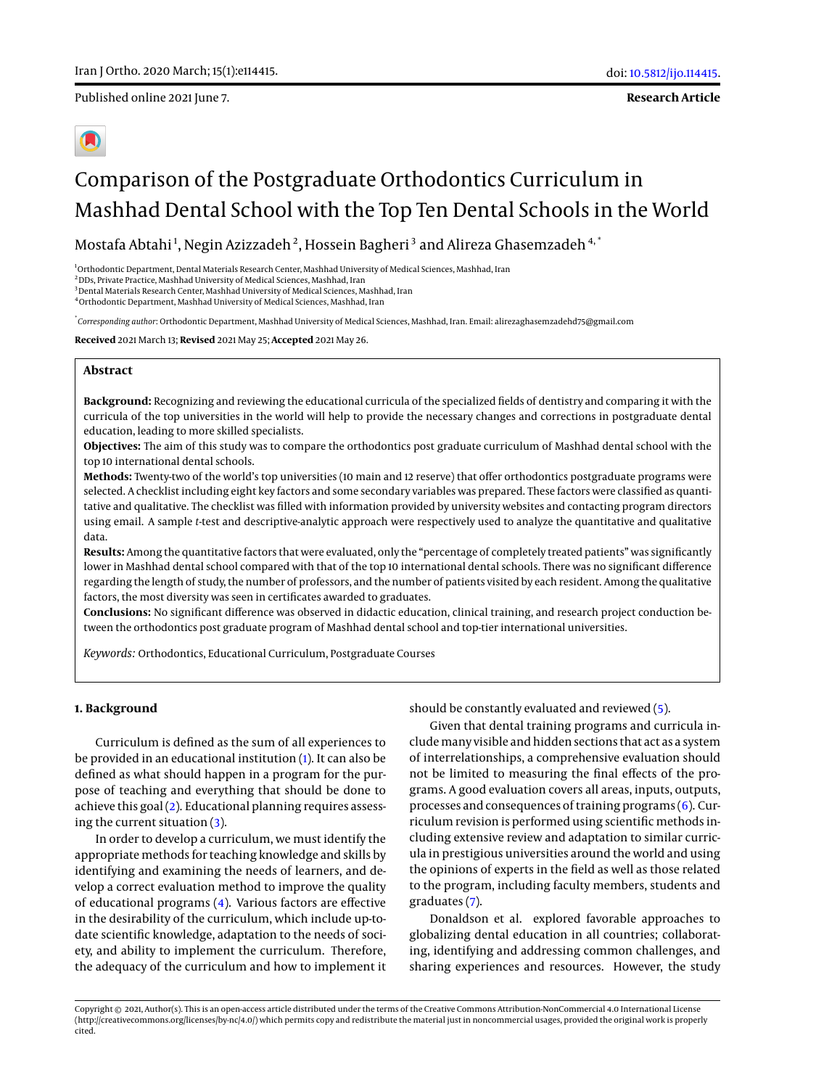Published online 2021 June 7.

**Research Article**

# Comparison of the Postgraduate Orthodontics Curriculum in Mashhad Dental School with the Top Ten Dental Schools in the World

Mostafa Abtahi $^1$ , Negin Azizzadeh $^2$ , Hossein Bagheri $^3$  and Alireza Ghasemzadeh $^{\mathbf{4},\mathbf{*}}$ 

<sup>1</sup>Orthodontic Department, Dental Materials Research Center, Mashhad University of Medical Sciences, Mashhad, Iran

<sup>2</sup>DDs, Private Practice, Mashhad University of Medical Sciences, Mashhad, Iran

 $^3$ Dental Materials Research Center, Mashhad University of Medical Sciences, Mashhad, Iran

<sup>4</sup>Orthodontic Department, Mashhad University of Medical Sciences, Mashhad, Iran

\* *Corresponding author*: Orthodontic Department, Mashhad University of Medical Sciences, Mashhad, Iran. Email: alirezaghasemzadehd75@gmail.com

**Received** 2021 March 13; **Revised** 2021 May 25; **Accepted** 2021 May 26.

## **Abstract**

**Background:** Recognizing and reviewing the educational curricula of the specialized fields of dentistry and comparing it with the curricula of the top universities in the world will help to provide the necessary changes and corrections in postgraduate dental education, leading to more skilled specialists.

**Objectives:** The aim of this study was to compare the orthodontics post graduate curriculum of Mashhad dental school with the top 10 international dental schools.

**Methods:** Twenty-two of the world's top universities (10 main and 12 reserve) that offer orthodontics postgraduate programs were selected. A checklist including eight key factors and some secondary variables was prepared. These factors were classified as quantitative and qualitative. The checklist was filled with information provided by university websites and contacting program directors using email. A sample *t*-test and descriptive-analytic approach were respectively used to analyze the quantitative and qualitative data.

**Results:** Among the quantitative factors that were evaluated, only the "percentage of completely treated patients" was significantly lower in Mashhad dental school compared with that of the top 10 international dental schools. There was no significant difference regarding the length of study, the number of professors, and the number of patients visited by each resident. Among the qualitative factors, the most diversity was seen in certificates awarded to graduates.

**Conclusions:** No significant difference was observed in didactic education, clinical training, and research project conduction between the orthodontics post graduate program of Mashhad dental school and top-tier international universities.

*Keywords:* Orthodontics, Educational Curriculum, Postgraduate Courses

## **1. Background**

Curriculum is defined as the sum of all experiences to be provided in an educational institution [\(1\)](#page-6-0). It can also be defined as what should happen in a program for the purpose of teaching and everything that should be done to achieve this goal [\(2\)](#page-6-1). Educational planning requires assessing the current situation [\(3\)](#page-6-2).

In order to develop a curriculum, we must identify the appropriate methods for teaching knowledge and skills by identifying and examining the needs of learners, and develop a correct evaluation method to improve the quality of educational programs [\(4\)](#page-6-3). Various factors are effective in the desirability of the curriculum, which include up-todate scientific knowledge, adaptation to the needs of society, and ability to implement the curriculum. Therefore, the adequacy of the curriculum and how to implement it

should be constantly evaluated and reviewed [\(5\)](#page-6-4).

Given that dental training programs and curricula includemany visible and hidden sections that act as a system of interrelationships, a comprehensive evaluation should not be limited to measuring the final effects of the programs. A good evaluation covers all areas, inputs, outputs, processes and consequences of training programs [\(6\)](#page-6-5). Curriculum revision is performed using scientific methods including extensive review and adaptation to similar curricula in prestigious universities around the world and using the opinions of experts in the field as well as those related to the program, including faculty members, students and graduates [\(7\)](#page-6-6).

Donaldson et al. explored favorable approaches to globalizing dental education in all countries; collaborating, identifying and addressing common challenges, and sharing experiences and resources. However, the study

Copyright © 2021, Author(s). This is an open-access article distributed under the terms of the Creative Commons Attribution-NonCommercial 4.0 International License (http://creativecommons.org/licenses/by-nc/4.0/) which permits copy and redistribute the material just in noncommercial usages, provided the original work is properly cited.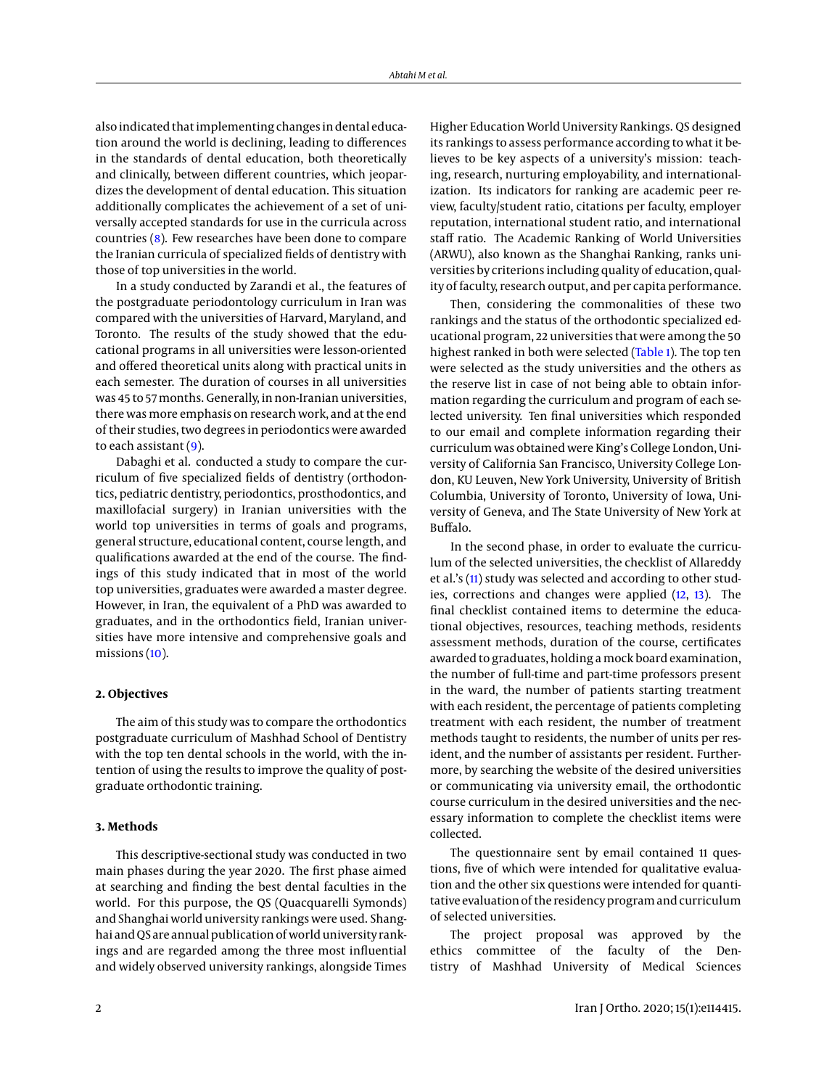also indicated that implementing changes in dental education around the world is declining, leading to differences in the standards of dental education, both theoretically and clinically, between different countries, which jeopardizes the development of dental education. This situation additionally complicates the achievement of a set of universally accepted standards for use in the curricula across countries [\(8\)](#page-6-7). Few researches have been done to compare the Iranian curricula of specialized fields of dentistry with those of top universities in the world.

In a study conducted by Zarandi et al., the features of the postgraduate periodontology curriculum in Iran was compared with the universities of Harvard, Maryland, and Toronto. The results of the study showed that the educational programs in all universities were lesson-oriented and offered theoretical units along with practical units in each semester. The duration of courses in all universities was 45 to 57months. Generally, in non-Iranian universities, there was more emphasis on research work, and at the end of their studies, two degrees in periodontics were awarded to each assistant [\(9\)](#page-6-8).

Dabaghi et al. conducted a study to compare the curriculum of five specialized fields of dentistry (orthodontics, pediatric dentistry, periodontics, prosthodontics, and maxillofacial surgery) in Iranian universities with the world top universities in terms of goals and programs, general structure, educational content, course length, and qualifications awarded at the end of the course. The findings of this study indicated that in most of the world top universities, graduates were awarded a master degree. However, in Iran, the equivalent of a PhD was awarded to graduates, and in the orthodontics field, Iranian universities have more intensive and comprehensive goals and missions [\(10\)](#page-6-9).

## **2. Objectives**

The aim of this study was to compare the orthodontics postgraduate curriculum of Mashhad School of Dentistry with the top ten dental schools in the world, with the intention of using the results to improve the quality of postgraduate orthodontic training.

#### **3. Methods**

This descriptive-sectional study was conducted in two main phases during the year 2020. The first phase aimed at searching and finding the best dental faculties in the world. For this purpose, the QS (Quacquarelli Symonds) and Shanghai world university rankings were used. Shanghai andQS are annual publication of world university rankings and are regarded among the three most influential and widely observed university rankings, alongside Times

Higher Education World University Rankings. QS designed its rankings to assess performance according to what it believes to be key aspects of a university's mission: teaching, research, nurturing employability, and internationalization. Its indicators for ranking are academic peer review, faculty/student ratio, citations per faculty, employer reputation, international student ratio, and international staff ratio. The Academic Ranking of World Universities (ARWU), also known as the Shanghai Ranking, ranks universities by criterions including quality of education, quality of faculty, research output, and per capita performance.

Then, considering the commonalities of these two rankings and the status of the orthodontic specialized educational program, 22 universities that were among the 50 highest ranked in both were selected [\(Table 1\)](#page-2-0). The top ten were selected as the study universities and the others as the reserve list in case of not being able to obtain information regarding the curriculum and program of each selected university. Ten final universities which responded to our email and complete information regarding their curriculum was obtained were King's College London, University of California San Francisco, University College London, KU Leuven, New York University, University of British Columbia, University of Toronto, University of Iowa, University of Geneva, and The State University of New York at Buffalo.

In the second phase, in order to evaluate the curriculum of the selected universities, the checklist of Allareddy et al.'s [\(11\)](#page-6-10) study was selected and according to other studies, corrections and changes were applied [\(12,](#page-6-11) [13\)](#page-6-12). The final checklist contained items to determine the educational objectives, resources, teaching methods, residents assessment methods, duration of the course, certificates awarded to graduates, holding a mock board examination, the number of full-time and part-time professors present in the ward, the number of patients starting treatment with each resident, the percentage of patients completing treatment with each resident, the number of treatment methods taught to residents, the number of units per resident, and the number of assistants per resident. Furthermore, by searching the website of the desired universities or communicating via university email, the orthodontic course curriculum in the desired universities and the necessary information to complete the checklist items were collected.

The questionnaire sent by email contained 11 questions, five of which were intended for qualitative evaluation and the other six questions were intended for quantitative evaluation of the residency program and curriculum of selected universities.

The project proposal was approved by the ethics committee of the faculty of the Dentistry of Mashhad University of Medical Sciences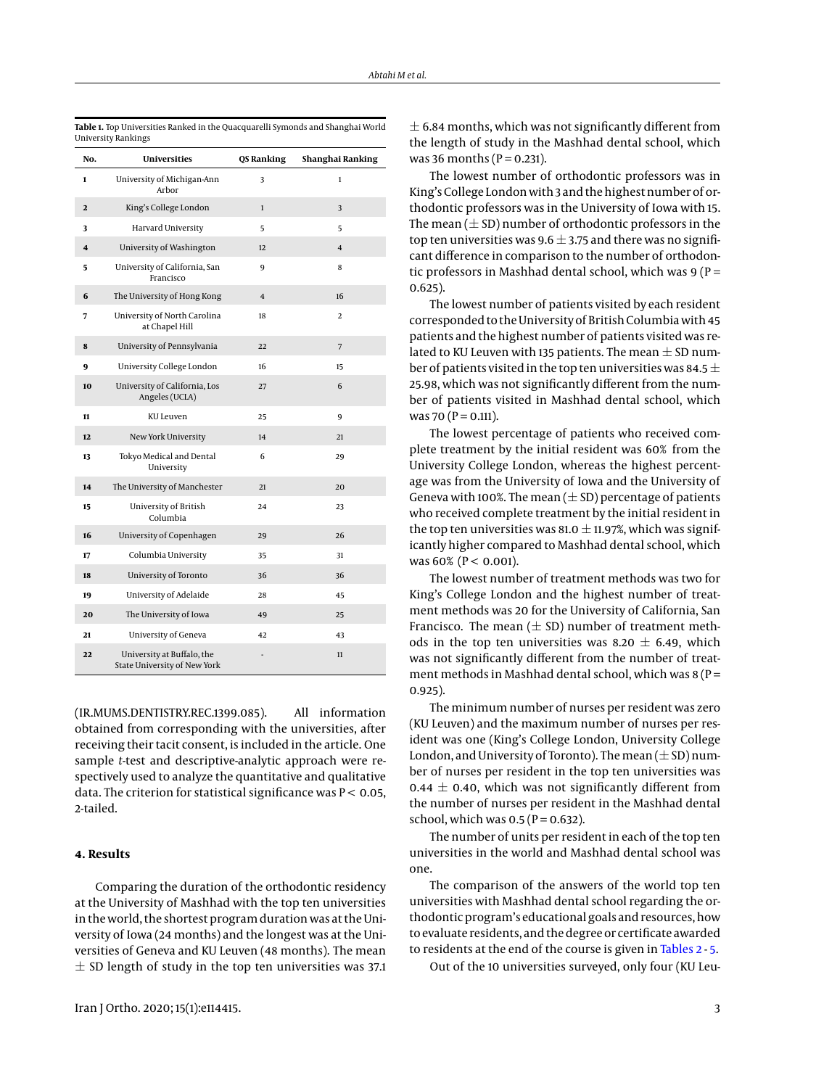| No.                     | Universities                                               | QS Ranking              | Shanghai Ranking |
|-------------------------|------------------------------------------------------------|-------------------------|------------------|
| 1                       | University of Michigan-Ann<br>Arbor                        | 3                       | $\mathbf{1}$     |
| $\mathbf{2}$            | King's College London                                      | $\mathbf 1$             | 3                |
| 3                       | Harvard University                                         | 5                       | 5                |
| $\overline{\mathbf{4}}$ | University of Washington                                   | 12                      | $\overline{4}$   |
| 5                       | University of California, San<br>Francisco                 | 9                       | 8                |
| 6                       | The University of Hong Kong                                | $\overline{\mathbf{4}}$ | 16               |
| 7                       | University of North Carolina<br>at Chapel Hill             | 18                      | 2                |
| 8                       | University of Pennsylvania                                 | 22                      | $\overline{7}$   |
| 9                       | University College London                                  | 16                      | 15               |
| 10                      | University of California, Los<br>Angeles (UCLA)            | 27                      | 6                |
| 11                      | KU Leuven                                                  | 25                      | 9                |
| 12                      | New York University                                        | 14                      | 21               |
| 13                      | Tokyo Medical and Dental<br>University                     | 6                       | 29               |
| 14                      | The University of Manchester                               | 21                      | 20               |
| 15                      | University of British<br>Columbia                          | 24                      | 23               |
| 16                      | University of Copenhagen                                   | 29                      | 26               |
| 17                      | Columbia University                                        | 35                      | 31               |
| 18                      | University of Toronto                                      | 36                      | 36               |
| 19                      | University of Adelaide                                     | 28                      | 45               |
| 20                      | The University of Iowa                                     | 49                      | 25               |
| 21                      | University of Geneva                                       | 42                      | 43               |
| 22                      | University at Buffalo, the<br>State University of New York |                         | 11               |

<span id="page-2-0"></span>**Table 1.** Top Universities Ranked in the Quacquarelli Symonds and Shanghai World University Rankings

(IR.MUMS.DENTISTRY.REC.1399.085). All information obtained from corresponding with the universities, after receiving their tacit consent, is included in the article. One sample *t*-test and descriptive-analytic approach were respectively used to analyze the quantitative and qualitative data. The criterion for statistical significance was  $P < 0.05$ , 2-tailed.

# **4. Results**

Comparing the duration of the orthodontic residency at the University of Mashhad with the top ten universities in the world, the shortest program duration was at the University of Iowa (24 months) and the longest was at the Universities of Geneva and KU Leuven (48 months). The mean  $\pm$  SD length of study in the top ten universities was 37.1

 $\pm$  6.84 months, which was not significantly different from the length of study in the Mashhad dental school, which was 36 months ( $P = 0.231$ ).

The lowest number of orthodontic professors was in King's College London with 3 and the highest number of orthodontic professors was in the University of Iowa with 15. The mean  $(\pm SD)$  number of orthodontic professors in the top ten universities was 9.6  $\pm$  3.75 and there was no significant difference in comparison to the number of orthodontic professors in Mashhad dental school, which was  $9 (P =$ 0.625).

The lowest number of patients visited by each resident corresponded to the University of British Columbia with 45 patients and the highest number of patients visited was related to KU Leuven with 135 patients. The mean  $\pm$  SD number of patients visited in the top ten universities was 84.5  $\pm$ 25.98, which was not significantly different from the number of patients visited in Mashhad dental school, which was 70 ( $P = 0.111$ ).

The lowest percentage of patients who received complete treatment by the initial resident was 60% from the University College London, whereas the highest percentage was from the University of Iowa and the University of Geneva with 100%. The mean  $(\pm SD)$  percentage of patients who received complete treatment by the initial resident in the top ten universities was 81.0  $\pm$  11.97%, which was significantly higher compared to Mashhad dental school, which was  $60\%$  (P < 0.001).

The lowest number of treatment methods was two for King's College London and the highest number of treatment methods was 20 for the University of California, San Francisco. The mean  $(\pm$  SD) number of treatment methods in the top ten universities was 8.20  $\pm$  6.49, which was not significantly different from the number of treatment methods in Mashhad dental school, which was  $8(P =$ 0.925).

The minimum number of nurses per resident was zero (KU Leuven) and the maximum number of nurses per resident was one (King's College London, University College London, and University of Toronto). The mean  $(\pm SD)$  number of nurses per resident in the top ten universities was 0.44  $\pm$  0.40, which was not significantly different from the number of nurses per resident in the Mashhad dental school, which was  $0.5$  (P = 0.632).

The number of units per resident in each of the top ten universities in the world and Mashhad dental school was one.

The comparison of the answers of the world top ten universities with Mashhad dental school regarding the orthodontic program's educational goals and resources, how to evaluate residents, and the degree or certificate awarded to residents at the end of the course is given in [Tables 2](#page-3-0) - [5.](#page-5-0)

Out of the 10 universities surveyed, only four (KU Leu-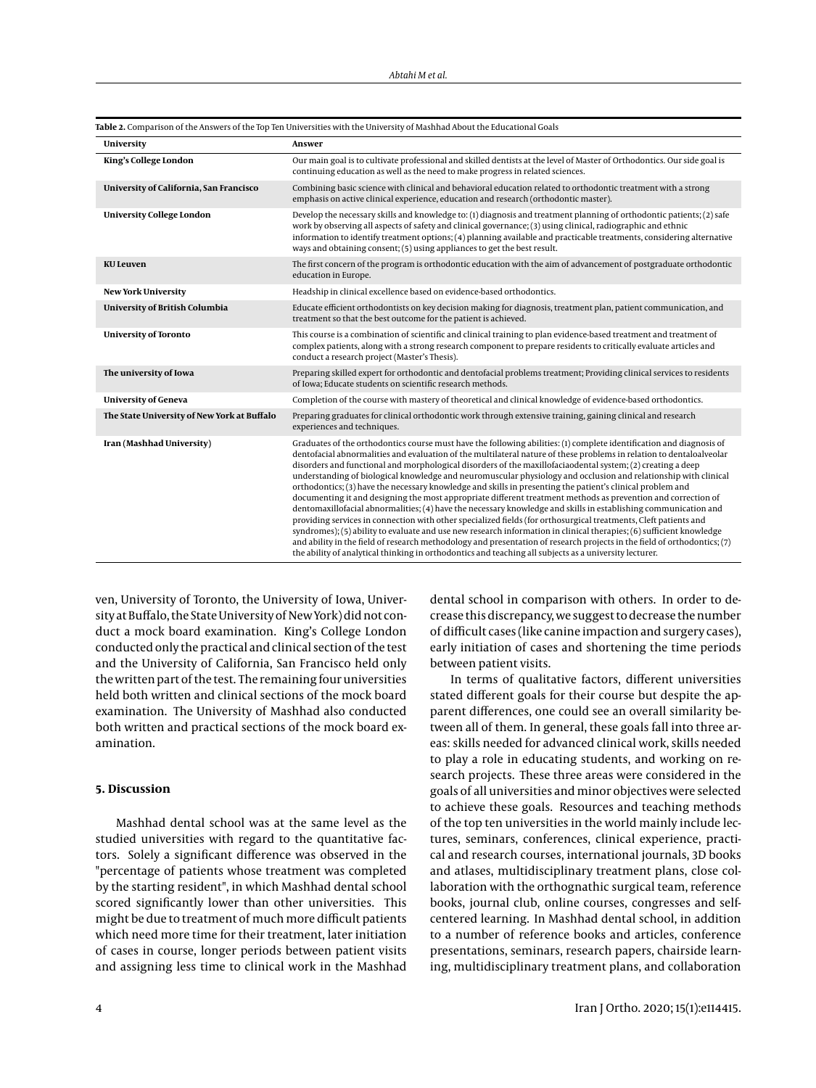<span id="page-3-0"></span>

| University                                  | Answer                                                                                                                                                                                                                                                                                                                                                                                                                                                                                                                                                                                                                                                                                                                                                                                                                                                                                                                                                                                                                                                                                                                                                                                                                                                                                                             |
|---------------------------------------------|--------------------------------------------------------------------------------------------------------------------------------------------------------------------------------------------------------------------------------------------------------------------------------------------------------------------------------------------------------------------------------------------------------------------------------------------------------------------------------------------------------------------------------------------------------------------------------------------------------------------------------------------------------------------------------------------------------------------------------------------------------------------------------------------------------------------------------------------------------------------------------------------------------------------------------------------------------------------------------------------------------------------------------------------------------------------------------------------------------------------------------------------------------------------------------------------------------------------------------------------------------------------------------------------------------------------|
| King's College London                       | Our main goal is to cultivate professional and skilled dentists at the level of Master of Orthodontics. Our side goal is<br>continuing education as well as the need to make progress in related sciences.                                                                                                                                                                                                                                                                                                                                                                                                                                                                                                                                                                                                                                                                                                                                                                                                                                                                                                                                                                                                                                                                                                         |
| University of California, San Francisco     | Combining basic science with clinical and behavioral education related to orthodontic treatment with a strong<br>emphasis on active clinical experience, education and research (orthodontic master).                                                                                                                                                                                                                                                                                                                                                                                                                                                                                                                                                                                                                                                                                                                                                                                                                                                                                                                                                                                                                                                                                                              |
| <b>University College London</b>            | Develop the necessary skills and knowledge to: (1) diagnosis and treatment planning of orthodontic patients; (2) safe<br>work by observing all aspects of safety and clinical governance; (3) using clinical, radiographic and ethnic<br>information to identify treatment options; (4) planning available and practicable treatments, considering alternative<br>ways and obtaining consent; (5) using appliances to get the best result.                                                                                                                                                                                                                                                                                                                                                                                                                                                                                                                                                                                                                                                                                                                                                                                                                                                                         |
| <b>KU Leuven</b>                            | The first concern of the program is orthodontic education with the aim of advancement of postgraduate orthodontic<br>education in Europe.                                                                                                                                                                                                                                                                                                                                                                                                                                                                                                                                                                                                                                                                                                                                                                                                                                                                                                                                                                                                                                                                                                                                                                          |
| <b>New York University</b>                  | Headship in clinical excellence based on evidence-based orthodontics.                                                                                                                                                                                                                                                                                                                                                                                                                                                                                                                                                                                                                                                                                                                                                                                                                                                                                                                                                                                                                                                                                                                                                                                                                                              |
| University of British Columbia              | Educate efficient orthodontists on key decision making for diagnosis, treatment plan, patient communication, and<br>treatment so that the best outcome for the patient is achieved.                                                                                                                                                                                                                                                                                                                                                                                                                                                                                                                                                                                                                                                                                                                                                                                                                                                                                                                                                                                                                                                                                                                                |
| <b>University of Toronto</b>                | This course is a combination of scientific and clinical training to plan evidence-based treatment and treatment of<br>complex patients, along with a strong research component to prepare residents to critically evaluate articles and<br>conduct a research project (Master's Thesis).                                                                                                                                                                                                                                                                                                                                                                                                                                                                                                                                                                                                                                                                                                                                                                                                                                                                                                                                                                                                                           |
| The university of Iowa                      | Preparing skilled expert for orthodontic and dentofacial problems treatment; Providing clinical services to residents<br>of Iowa: Educate students on scientific research methods.                                                                                                                                                                                                                                                                                                                                                                                                                                                                                                                                                                                                                                                                                                                                                                                                                                                                                                                                                                                                                                                                                                                                 |
| <b>University of Geneva</b>                 | Completion of the course with mastery of theoretical and clinical knowledge of evidence-based orthodontics.                                                                                                                                                                                                                                                                                                                                                                                                                                                                                                                                                                                                                                                                                                                                                                                                                                                                                                                                                                                                                                                                                                                                                                                                        |
| The State University of New York at Buffalo | Preparing graduates for clinical orthodontic work through extensive training, gaining clinical and research<br>experiences and techniques.                                                                                                                                                                                                                                                                                                                                                                                                                                                                                                                                                                                                                                                                                                                                                                                                                                                                                                                                                                                                                                                                                                                                                                         |
| Iran (Mashhad University)                   | Graduates of the orthodontics course must have the following abilities: (1) complete identification and diagnosis of<br>dentofacial abnormalities and evaluation of the multilateral nature of these problems in relation to dentaloalveolar<br>disorders and functional and morphological disorders of the maxillofaciaodental system; (2) creating a deep<br>understanding of biological knowledge and neuromuscular physiology and occlusion and relationship with clinical<br>orthodontics; (3) have the necessary knowledge and skills in presenting the patient's clinical problem and<br>documenting it and designing the most appropriate different treatment methods as prevention and correction of<br>dentomaxillofacial abnormalities; (4) have the necessary knowledge and skills in establishing communication and<br>providing services in connection with other specialized fields (for orthosurgical treatments, Cleft patients and<br>syndromes); (5) ability to evaluate and use new research information in clinical therapies; (6) sufficient knowledge<br>and ability in the field of research methodology and presentation of research projects in the field of orthodontics; (7)<br>the ability of analytical thinking in orthodontics and teaching all subjects as a university lecturer. |

ven, University of Toronto, the University of Iowa, University at Buffalo, the State University of New York) did not conduct a mock board examination. King's College London conducted only the practical and clinical section of the test and the University of California, San Francisco held only the written part of the test. The remaining four universities held both written and clinical sections of the mock board examination. The University of Mashhad also conducted both written and practical sections of the mock board examination.

## **5. Discussion**

Mashhad dental school was at the same level as the studied universities with regard to the quantitative factors. Solely a significant difference was observed in the "percentage of patients whose treatment was completed by the starting resident", in which Mashhad dental school scored significantly lower than other universities. This might be due to treatment of much more difficult patients which need more time for their treatment, later initiation of cases in course, longer periods between patient visits and assigning less time to clinical work in the Mashhad

dental school in comparison with others. In order to decrease this discrepancy, we suggest to decrease the number of difficult cases (like canine impaction and surgery cases), early initiation of cases and shortening the time periods between patient visits.

In terms of qualitative factors, different universities stated different goals for their course but despite the apparent differences, one could see an overall similarity between all of them. In general, these goals fall into three areas: skills needed for advanced clinical work, skills needed to play a role in educating students, and working on research projects. These three areas were considered in the goals of all universities and minor objectives were selected to achieve these goals. Resources and teaching methods of the top ten universities in the world mainly include lectures, seminars, conferences, clinical experience, practical and research courses, international journals, 3D books and atlases, multidisciplinary treatment plans, close collaboration with the orthognathic surgical team, reference books, journal club, online courses, congresses and selfcentered learning. In Mashhad dental school, in addition to a number of reference books and articles, conference presentations, seminars, research papers, chairside learning, multidisciplinary treatment plans, and collaboration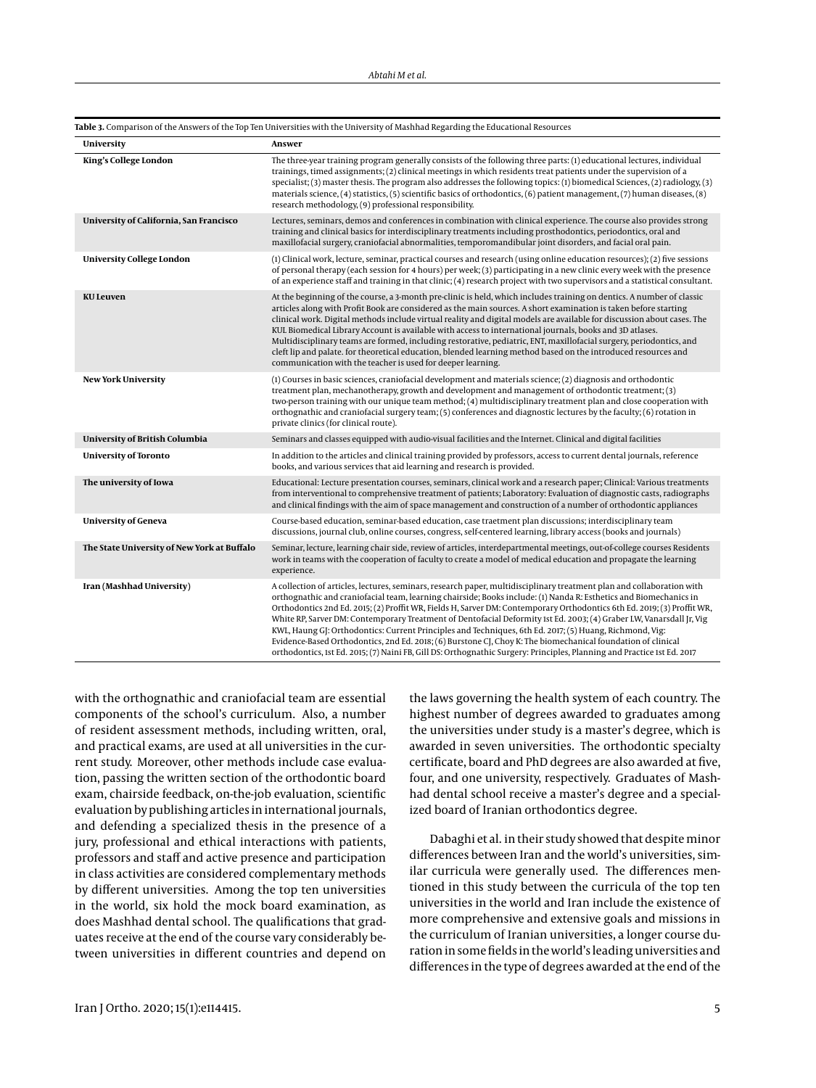| University                                  | Answer                                                                                                                                                                                                                                                                                                                                                                                                                                                                                                                                                                                                                                                                                                                                                                                                                                              |
|---------------------------------------------|-----------------------------------------------------------------------------------------------------------------------------------------------------------------------------------------------------------------------------------------------------------------------------------------------------------------------------------------------------------------------------------------------------------------------------------------------------------------------------------------------------------------------------------------------------------------------------------------------------------------------------------------------------------------------------------------------------------------------------------------------------------------------------------------------------------------------------------------------------|
| King's College London                       | The three-year training program generally consists of the following three parts: (1) educational lectures, individual<br>trainings, timed assignments; (2) clinical meetings in which residents treat patients under the supervision of a<br>specialist; (3) master thesis. The program also addresses the following topics: (1) biomedical Sciences, (2) radiology, (3)<br>materials science, (4) statistics, (5) scientific basics of orthodontics, (6) patient management, (7) human diseases, (8)<br>research methodology, (9) professional responsibility.                                                                                                                                                                                                                                                                                     |
| University of California, San Francisco     | Lectures, seminars, demos and conferences in combination with clinical experience. The course also provides strong<br>training and clinical basics for interdisciplinary treatments including prosthodontics, periodontics, oral and<br>maxillofacial surgery, craniofacial abnormalities, temporomandibular joint disorders, and facial oral pain.                                                                                                                                                                                                                                                                                                                                                                                                                                                                                                 |
| <b>University College London</b>            | (1) Clinical work, lecture, seminar, practical courses and research (using online education resources); (2) five sessions<br>of personal therapy (each session for 4 hours) per week; (3) participating in a new clinic every week with the presence<br>of an experience staff and training in that clinic; (4) research project with two supervisors and a statistical consultant.                                                                                                                                                                                                                                                                                                                                                                                                                                                                 |
| <b>KU Leuven</b>                            | At the beginning of the course, a 3-month pre-clinic is held, which includes training on dentics. A number of classic<br>articles along with Profit Book are considered as the main sources. A short examination is taken before starting<br>clinical work. Digital methods include virtual reality and digital models are available for discussion about cases. The<br>KUL Biomedical Library Account is available with access to international journals, books and 3D atlases.<br>Multidisciplinary teams are formed, including restorative, pediatric, ENT, maxillofacial surgery, periodontics, and<br>cleft lip and palate. for theoretical education, blended learning method based on the introduced resources and<br>communication with the teacher is used for deeper learning.                                                            |
| <b>New York University</b>                  | (1) Courses in basic sciences, craniofacial development and materials science; (2) diagnosis and orthodontic<br>treatment plan, mechanotherapy, growth and development and management of orthodontic treatment; (3)<br>two-person training with our unique team method; (4) multidisciplinary treatment plan and close cooperation with<br>orthognathic and craniofacial surgery team; (5) conferences and diagnostic lectures by the faculty; (6) rotation in<br>private clinics (for clinical route).                                                                                                                                                                                                                                                                                                                                             |
| University of British Columbia              | Seminars and classes equipped with audio-visual facilities and the Internet. Clinical and digital facilities                                                                                                                                                                                                                                                                                                                                                                                                                                                                                                                                                                                                                                                                                                                                        |
| <b>University of Toronto</b>                | In addition to the articles and clinical training provided by professors, access to current dental journals, reference<br>books, and various services that aid learning and research is provided.                                                                                                                                                                                                                                                                                                                                                                                                                                                                                                                                                                                                                                                   |
| The university of Iowa                      | Educational: Lecture presentation courses, seminars, clinical work and a research paper; Clinical: Various treatments<br>from interventional to comprehensive treatment of patients; Laboratory: Evaluation of diagnostic casts, radiographs<br>and clinical findings with the aim of space management and construction of a number of orthodontic appliances                                                                                                                                                                                                                                                                                                                                                                                                                                                                                       |
| <b>University of Geneva</b>                 | Course-based education, seminar-based education, case traetment plan discussions; interdisciplinary team<br>discussions, journal club, online courses, congress, self-centered learning, library access (books and journals)                                                                                                                                                                                                                                                                                                                                                                                                                                                                                                                                                                                                                        |
| The State University of New York at Buffalo | Seminar, lecture, learning chair side, review of articles, interdepartmental meetings, out-of-college courses Residents<br>work in teams with the cooperation of faculty to create a model of medical education and propagate the learning<br>experience.                                                                                                                                                                                                                                                                                                                                                                                                                                                                                                                                                                                           |
| Iran (Mashhad University)                   | A collection of articles, lectures, seminars, research paper, multidisciplinary treatment plan and collaboration with<br>orthognathic and craniofacial team, learning chairside; Books include: (1) Nanda R: Esthetics and Biomechanics in<br>Orthodontics 2nd Ed. 2015; (2) Proffit WR, Fields H, Sarver DM: Contemporary Orthodontics 6th Ed. 2019; (3) Proffit WR,<br>White RP, Sarver DM: Contemporary Treatment of Dentofacial Deformity 1st Ed. 2003; (4) Graber LW, Vanarsdall Jr, Vig<br>KWL, Haung GJ: Orthodontics: Current Principles and Techniques, 6th Ed. 2017; (5) Huang, Richmond, Vig:<br>Evidence-Based Orthodontics, 2nd Ed. 2018; (6) Burstone CJ, Choy K: The biomechanical foundation of clinical<br>orthodontics, 1st Ed. 2015; (7) Naini FB, Gill DS: Orthognathic Surgery: Principles, Planning and Practice 1st Ed. 2017 |

**Table 3.** Comparison of the Answers of the Top Ten Universities with the University of Mashhad Regarding the Educational Resources

with the orthognathic and craniofacial team are essential components of the school's curriculum. Also, a number of resident assessment methods, including written, oral, and practical exams, are used at all universities in the current study. Moreover, other methods include case evaluation, passing the written section of the orthodontic board exam, chairside feedback, on-the-job evaluation, scientific evaluation by publishing articles in international journals, and defending a specialized thesis in the presence of a jury, professional and ethical interactions with patients, professors and staff and active presence and participation in class activities are considered complementary methods by different universities. Among the top ten universities in the world, six hold the mock board examination, as does Mashhad dental school. The qualifications that graduates receive at the end of the course vary considerably between universities in different countries and depend on

the laws governing the health system of each country. The highest number of degrees awarded to graduates among the universities under study is a master's degree, which is awarded in seven universities. The orthodontic specialty certificate, board and PhD degrees are also awarded at five, four, and one university, respectively. Graduates of Mashhad dental school receive a master's degree and a specialized board of Iranian orthodontics degree.

Dabaghi et al. in their study showed that despite minor differences between Iran and the world's universities, similar curricula were generally used. The differences mentioned in this study between the curricula of the top ten universities in the world and Iran include the existence of more comprehensive and extensive goals and missions in the curriculum of Iranian universities, a longer course duration in some fields in the world's leading universities and differences in the type of degrees awarded at the end of the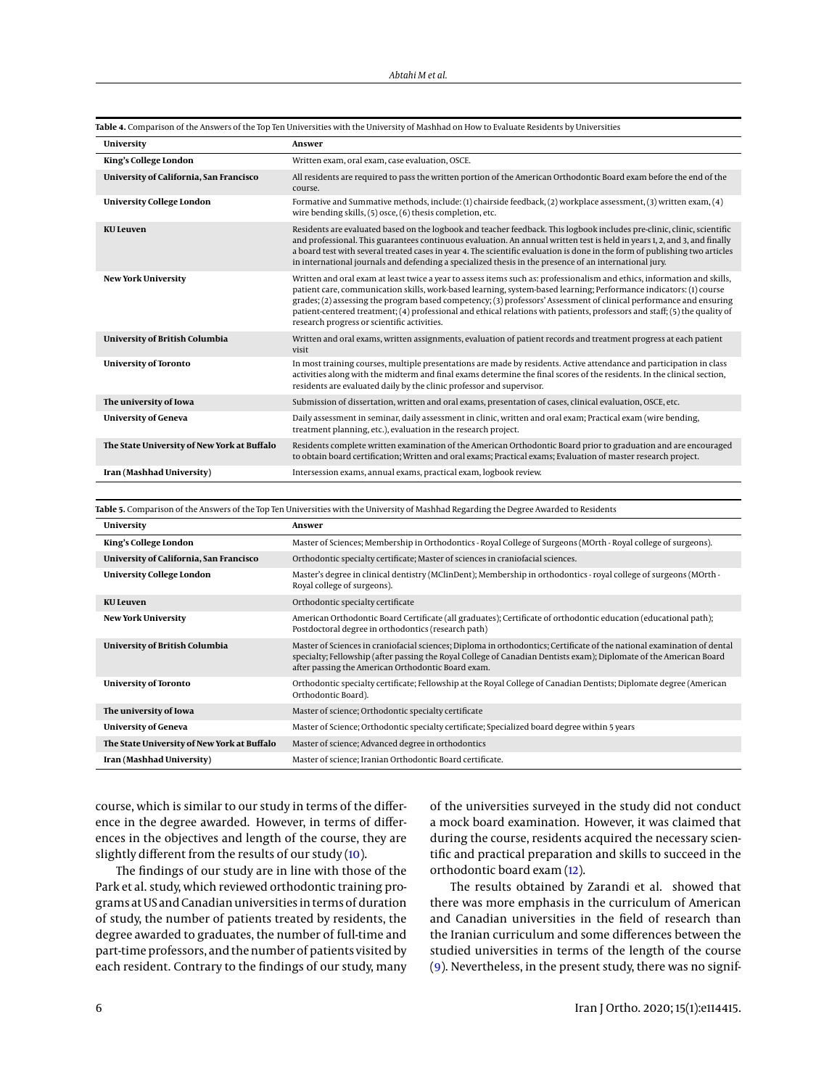| University                                  | Answer                                                                                                                                                                                                                                                                                                                                                                                                                                                                                                                                             |
|---------------------------------------------|----------------------------------------------------------------------------------------------------------------------------------------------------------------------------------------------------------------------------------------------------------------------------------------------------------------------------------------------------------------------------------------------------------------------------------------------------------------------------------------------------------------------------------------------------|
| King's College London                       | Written exam, oral exam, case evaluation, OSCE.                                                                                                                                                                                                                                                                                                                                                                                                                                                                                                    |
| University of California, San Francisco     | All residents are required to pass the written portion of the American Orthodontic Board exam before the end of the<br>course.                                                                                                                                                                                                                                                                                                                                                                                                                     |
| <b>University College London</b>            | Formative and Summative methods, include: (1) chairside feedback, (2) workplace assessment, (3) written exam, (4)<br>wire bending skills, (5) osce, (6) thesis completion, etc.                                                                                                                                                                                                                                                                                                                                                                    |
| <b>KULeuven</b>                             | Residents are evaluated based on the logbook and teacher feedback. This logbook includes pre-clinic, clinic, scientific<br>and professional. This guarantees continuous evaluation. An annual written test is held in years 1, 2, and 3, and finally<br>a board test with several treated cases in year 4. The scientific evaluation is done in the form of publishing two articles<br>in international journals and defending a specialized thesis in the presence of an international jury.                                                      |
| <b>New York University</b>                  | Written and oral exam at least twice a year to assess items such as: professionalism and ethics, information and skills,<br>patient care, communication skills, work-based learning, system-based learning; Performance indicators: (1) course<br>grades; (2) assessing the program based competency; (3) professors' Assessment of clinical performance and ensuring<br>patient-centered treatment; (4) professional and ethical relations with patients, professors and staff; (5) the quality of<br>research progress or scientific activities. |
| University of British Columbia              | Written and oral exams, written assignments, evaluation of patient records and treatment progress at each patient<br>visit                                                                                                                                                                                                                                                                                                                                                                                                                         |
| <b>University of Toronto</b>                | In most training courses, multiple presentations are made by residents. Active attendance and participation in class<br>activities along with the midterm and final exams determine the final scores of the residents. In the clinical section,<br>residents are evaluated daily by the clinic professor and supervisor.                                                                                                                                                                                                                           |
| The university of Iowa                      | Submission of dissertation, written and oral exams, presentation of cases, clinical evaluation, OSCE, etc.                                                                                                                                                                                                                                                                                                                                                                                                                                         |
| <b>University of Geneva</b>                 | Daily assessment in seminar, daily assessment in clinic, written and oral exam; Practical exam (wire bending,<br>treatment planning, etc.), evaluation in the research project.                                                                                                                                                                                                                                                                                                                                                                    |
| The State University of New York at Buffalo | Residents complete written examination of the American Orthodontic Board prior to graduation and are encouraged<br>to obtain board certification; Written and oral exams; Practical exams; Evaluation of master research project.                                                                                                                                                                                                                                                                                                                  |
| Iran (Mashhad University)                   | Intersession exams, annual exams, practical exam, logbook review.                                                                                                                                                                                                                                                                                                                                                                                                                                                                                  |

**Table 4.** Comparison of the Answers of the Top Ten Universities with the University of Mashhad on How to Evaluate Residents by Universities

<span id="page-5-0"></span>

| Table 5. Comparison of the Answers of the Top Ten Universities with the University of Mashhad Regarding the Degree Awarded to Residents |                                                                                                                                                                                                                                                                                                     |  |  |
|-----------------------------------------------------------------------------------------------------------------------------------------|-----------------------------------------------------------------------------------------------------------------------------------------------------------------------------------------------------------------------------------------------------------------------------------------------------|--|--|
| University                                                                                                                              | Answer                                                                                                                                                                                                                                                                                              |  |  |
| King's College London                                                                                                                   | Master of Sciences; Membership in Orthodontics - Royal College of Surgeons (MOrth - Royal college of surgeons).                                                                                                                                                                                     |  |  |
| University of California, San Francisco                                                                                                 | Orthodontic specialty certificate; Master of sciences in craniofacial sciences.                                                                                                                                                                                                                     |  |  |
| <b>University College London</b>                                                                                                        | Master's degree in clinical dentistry (MClinDent); Membership in orthodontics - royal college of surgeons (MOrth -<br>Royal college of surgeons).                                                                                                                                                   |  |  |
| KU Leuven                                                                                                                               | Orthodontic specialty certificate                                                                                                                                                                                                                                                                   |  |  |
| <b>New York University</b>                                                                                                              | American Orthodontic Board Certificate (all graduates); Certificate of orthodontic education (educational path);<br>Postdoctoral degree in orthodontics (research path)                                                                                                                             |  |  |
| University of British Columbia                                                                                                          | Master of Sciences in craniofacial sciences; Diploma in orthodontics; Certificate of the national examination of dental<br>specialty; Fellowship (after passing the Royal College of Canadian Dentists exam); Diplomate of the American Board<br>after passing the American Orthodontic Board exam. |  |  |
| <b>University of Toronto</b>                                                                                                            | Orthodontic specialty certificate; Fellowship at the Royal College of Canadian Dentists; Diplomate degree (American<br>Orthodontic Board).                                                                                                                                                          |  |  |
| The university of Iowa                                                                                                                  | Master of science; Orthodontic specialty certificate                                                                                                                                                                                                                                                |  |  |
| <b>University of Geneva</b>                                                                                                             | Master of Science; Orthodontic specialty certificate; Specialized board degree within 5 years                                                                                                                                                                                                       |  |  |
| The State University of New York at Buffalo                                                                                             | Master of science; Advanced degree in orthodontics                                                                                                                                                                                                                                                  |  |  |
| Iran (Mashhad University)                                                                                                               | Master of science; Iranian Orthodontic Board certificate.                                                                                                                                                                                                                                           |  |  |

course, which is similar to our study in terms of the difference in the degree awarded. However, in terms of differences in the objectives and length of the course, they are slightly different from the results of our study [\(10\)](#page-6-9).

The findings of our study are in line with those of the Park et al. study, which reviewed orthodontic training programs at US and Canadian universities in terms of duration of study, the number of patients treated by residents, the degree awarded to graduates, the number of full-time and part-time professors, and the number of patients visited by each resident. Contrary to the findings of our study, many of the universities surveyed in the study did not conduct a mock board examination. However, it was claimed that during the course, residents acquired the necessary scientific and practical preparation and skills to succeed in the orthodontic board exam [\(12\)](#page-6-11).

The results obtained by Zarandi et al. showed that there was more emphasis in the curriculum of American and Canadian universities in the field of research than the Iranian curriculum and some differences between the studied universities in terms of the length of the course [\(9\)](#page-6-8). Nevertheless, in the present study, there was no signif-